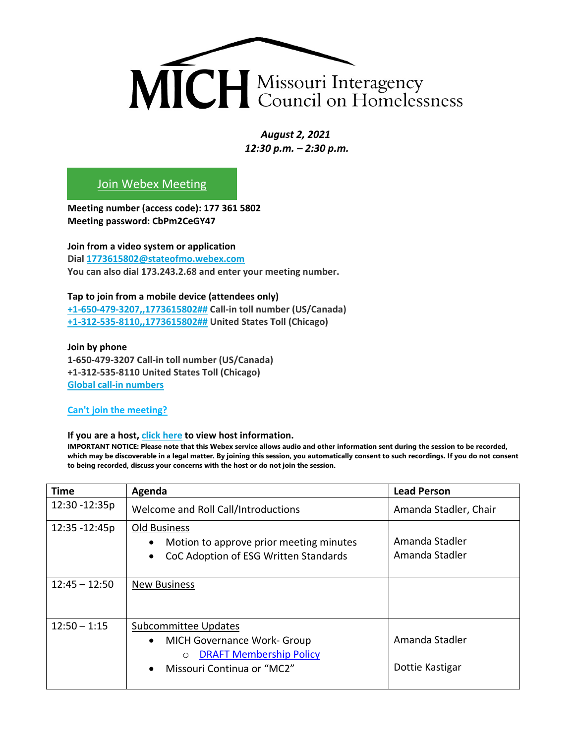

*August 2, 2021 12:30 p.m. – 2:30 p.m.* 

## [Join Webex Meeting](https://stateofmo.webex.com/stateofmo/j.php?MTID=m3954c9f3c222f19147e426aaf6b89a3e)

**Meeting number (access code): 177 361 5802 Meeting password: CbPm2CeGY47**

**Join from a video system or application Dial [1773615802@stateofmo.webex.com](sip:1773615802@stateofmo.webex.com) You can also dial 173.243.2.68 and enter your meeting number.**

## **Tap to join from a mobile device (attendees only)**

**[+1-650-479-3207,,1773615802##](tel:%2B1-650-479-3207,,*01*1773615802%23%23*01*) Call-in toll number (US/Canada) [+1-312-535-8110,,1773615802##](tel:%2B1-312-535-8110,,*01*1773615802%23%23*01*) United States Toll (Chicago)**

**Join by phone 1-650-479-3207 Call-in toll number (US/Canada) +1-312-535-8110 United States Toll (Chicago) [Global call-in numbers](https://stateofmo.webex.com/stateofmo/globalcallin.php?MTID=mc74b6c5d3384bbc595ad815a87ed5311)**

**[Can't join the meeting?](https://collaborationhelp.cisco.com/article/WBX000029055)**

## **If you are a host, [click here](https://stateofmo.webex.com/stateofmo/j.php?MTID=me3023518f467165c778f290cbe994af3) to view host information.**

**IMPORTANT NOTICE: Please note that this Webex service allows audio and other information sent during the session to be recorded, which may be discoverable in a legal matter. By joining this session, you automatically consent to such recordings. If you do not consent to being recorded, discuss your concerns with the host or do not join the session.**

| <b>Time</b>     | Agenda                                                                                                                                                                 | <b>Lead Person</b>                |
|-----------------|------------------------------------------------------------------------------------------------------------------------------------------------------------------------|-----------------------------------|
| 12:30 - 12:35p  | Welcome and Roll Call/Introductions                                                                                                                                    | Amanda Stadler, Chair             |
| 12:35 - 12:45p  | Old Business<br>Motion to approve prior meeting minutes<br>$\bullet$<br>CoC Adoption of ESG Written Standards<br>$\bullet$                                             | Amanda Stadler<br>Amanda Stadler  |
| $12:45 - 12:50$ | <b>New Business</b>                                                                                                                                                    |                                   |
| $12:50 - 1:15$  | <b>Subcommittee Updates</b><br><b>MICH Governance Work- Group</b><br>$\bullet$<br><b>DRAFT Membership Policy</b><br>$\circ$<br>Missouri Continua or "MC2"<br>$\bullet$ | Amanda Stadler<br>Dottie Kastigar |